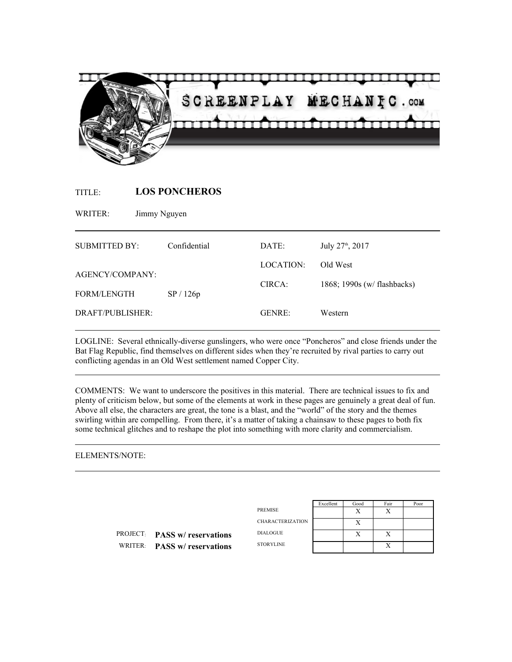

TITLE: **LOS PONCHEROS**

WRITER: Jimmy Nguyen

| Confidential                          | DATE:         | July 27 <sup>th</sup> , 2017 |
|---------------------------------------|---------------|------------------------------|
| AGENCY/COMPANY:<br><b>FORM/LENGTH</b> | LOCATION:     | Old West                     |
|                                       | CIRCA:        | 1868; 1990s (w/ flashbacks)  |
|                                       |               |                              |
|                                       | <b>GENRE:</b> | Western                      |
|                                       | SP/126p       |                              |

LOGLINE: Several ethnically-diverse gunslingers, who were once "Poncheros" and close friends under the Bat Flag Republic, find themselves on different sides when they're recruited by rival parties to carry out conflicting agendas in an Old West settlement named Copper City.

COMMENTS: We want to underscore the positives in this material. There are technical issues to fix and plenty of criticism below, but some of the elements at work in these pages are genuinely a great deal of fun. Above all else, the characters are great, the tone is a blast, and the "world" of the story and the themes swirling within are compelling. From there, it's a matter of taking a chainsaw to these pages to both fix some technical glitches and to reshape the plot into something with more clarity and commercialism.

### ELEMENTS/NOTE:

|                                      |                         | Excellent | Good   | Fair      | Poor |
|--------------------------------------|-------------------------|-----------|--------|-----------|------|
|                                      | PREMISE                 |           | Х      | л         |      |
|                                      | <b>CHARACTERIZATION</b> |           | Х      |           |      |
| <b>PROJECT: PASS w/ reservations</b> | <b>DIALOGUE</b>         |           | v<br>л | $\lambda$ |      |
| WRITER: PASS w/ reservations         | <b>STORYLINE</b>        |           |        | Х         |      |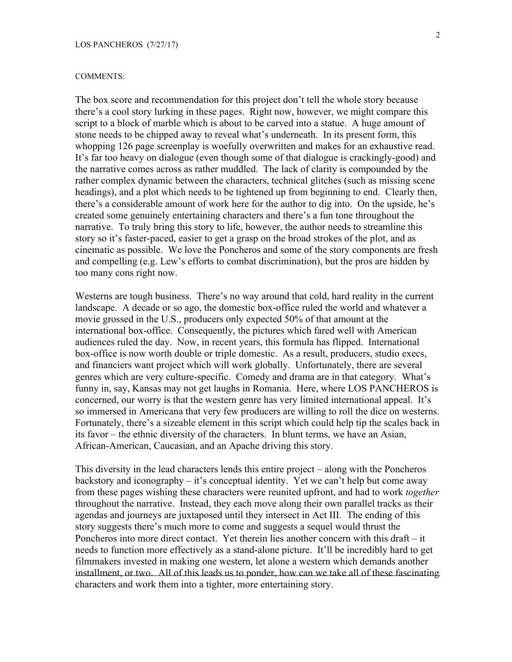#### COMMENTS:

The box score and recommendation for this project don't tell the whole story because there's a cool story lurking in these pages. Right now, however, we might compare this script to a block of marble which is about to be carved into a statue. A huge amount of stone needs to be chipped away to reveal what's underneath. In its present form, this whopping 126 page screenplay is woefully overwritten and makes for an exhaustive read. It's far too heavy on dialogue (even though some of that dialogue is crackingly-good) and the narrative comes across as rather muddled. The lack of clarity is compounded by the rather complex dynamic between the characters, technical glitches (such as missing scene headings), and a plot which needs to be tightened up from beginning to end. Clearly then, there's a considerable amount of work here for the author to dig into. On the upside, he's created some genuinely entertaining characters and there's a fun tone throughout the narrative. To truly bring this story to life, however, the author needs to streamline this story so it's faster-paced, easier to get a grasp on the broad strokes of the plot, and as cinematic as possible. We love the Poncheros and some of the story components are fresh and compelling (e.g. Lew's efforts to combat discrimination), but the pros are hidden by too many cons right now.

Westerns are tough business. There's no way around that cold, hard reality in the current landscape. A decade or so ago, the domestic box-office ruled the world and whatever a movie grossed in the U.S., producers only expected 50% of that amount at the international box-office. Consequently, the pictures which fared well with American audiences ruled the day. Now, in recent years, this formula has flipped. International box-office is now worth double or triple domestic. As a result, producers, studio execs, and financiers want project which will work globally. Unfortunately, there are several genres which are very culture-specific. Comedy and drama are in that category. What's funny in, say, Kansas may not get laughs in Romania. Here, where LOS PANCHEROS is concerned, our worry is that the western genre has very limited international appeal. It's so immersed in Americana that very few producers are willing to roll the dice on westerns. Fortunately, there's a sizeable element in this script which could help tip the scales back in its favor – the ethnic diversity of the characters. In blunt terms, we have an Asian, African-American, Caucasian, and an Apache driving this story.

This diversity in the lead characters lends this entire project – along with the Poncheros backstory and iconography – it's conceptual identity. Yet we can't help but come away from these pages wishing these characters were reunited upfront, and had to work *together* throughout the narrative. Instead, they each move along their own parallel tracks as their agendas and journeys are juxtaposed until they intersect in Act III. The ending of this story suggests there's much more to come and suggests a sequel would thrust the Poncheros into more direct contact. Yet therein lies another concern with this draft – it needs to function more effectively as a stand-alone picture. It'll be incredibly hard to get filmmakers invested in making one western, let alone a western which demands another installment, or two. All of this leads us to ponder, how can we take all of these fascinating characters and work them into a tighter, more entertaining story.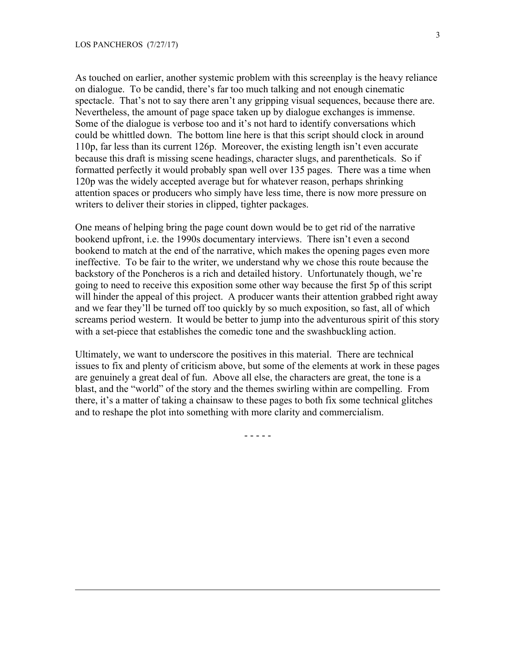As touched on earlier, another systemic problem with this screenplay is the heavy reliance on dialogue. To be candid, there's far too much talking and not enough cinematic spectacle. That's not to say there aren't any gripping visual sequences, because there are. Nevertheless, the amount of page space taken up by dialogue exchanges is immense. Some of the dialogue is verbose too and it's not hard to identify conversations which could be whittled down. The bottom line here is that this script should clock in around 110p, far less than its current 126p. Moreover, the existing length isn't even accurate because this draft is missing scene headings, character slugs, and parentheticals. So if formatted perfectly it would probably span well over 135 pages. There was a time when 120p was the widely accepted average but for whatever reason, perhaps shrinking attention spaces or producers who simply have less time, there is now more pressure on writers to deliver their stories in clipped, tighter packages.

One means of helping bring the page count down would be to get rid of the narrative bookend upfront, i.e. the 1990s documentary interviews. There isn't even a second bookend to match at the end of the narrative, which makes the opening pages even more ineffective. To be fair to the writer, we understand why we chose this route because the backstory of the Poncheros is a rich and detailed history. Unfortunately though, we're going to need to receive this exposition some other way because the first 5p of this script will hinder the appeal of this project. A producer wants their attention grabbed right away and we fear they'll be turned off too quickly by so much exposition, so fast, all of which screams period western. It would be better to jump into the adventurous spirit of this story with a set-piece that establishes the comedic tone and the swashbuckling action.

Ultimately, we want to underscore the positives in this material. There are technical issues to fix and plenty of criticism above, but some of the elements at work in these pages are genuinely a great deal of fun. Above all else, the characters are great, the tone is a blast, and the "world" of the story and the themes swirling within are compelling. From there, it's a matter of taking a chainsaw to these pages to both fix some technical glitches and to reshape the plot into something with more clarity and commercialism.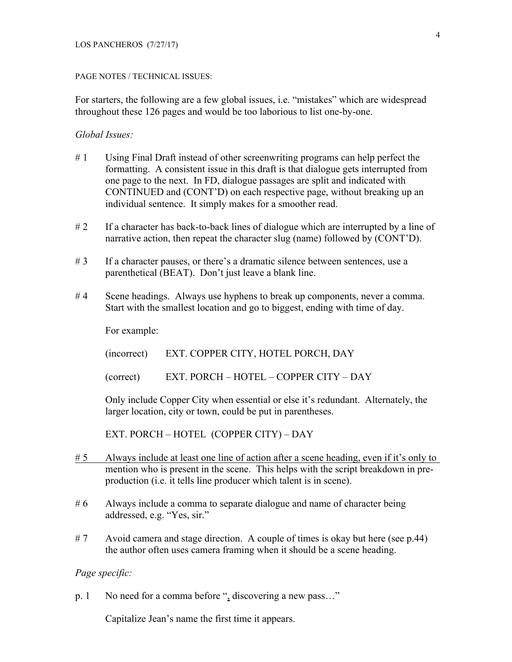### PAGE NOTES / TECHNICAL ISSUES:

For starters, the following are a few global issues, i.e. "mistakes" which are widespread throughout these 126 pages and would be too laborious to list one-by-one.

# *Global Issues:*

- # 1 Using Final Draft instead of other screenwriting programs can help perfect the formatting. A consistent issue in this draft is that dialogue gets interrupted from one page to the next. In FD, dialogue passages are split and indicated with CONTINUED and (CONT'D) on each respective page, without breaking up an individual sentence. It simply makes for a smoother read.
- #2 If a character has back-to-back lines of dialogue which are interrupted by a line of narrative action, then repeat the character slug (name) followed by (CONT'D).
- #3 If a character pauses, or there's a dramatic silence between sentences, use a parenthetical (BEAT). Don't just leave a blank line.
- #4 Scene headings. Always use hyphens to break up components, never a comma. Start with the smallest location and go to biggest, ending with time of day.

For example:

(incorrect) EXT. COPPER CITY, HOTEL PORCH, DAY

(correct) EXT. PORCH – HOTEL – COPPER CITY – DAY

Only include Copper City when essential or else it's redundant. Alternately, the larger location, city or town, could be put in parentheses.

EXT. PORCH – HOTEL (COPPER CITY) – DAY

- # 5 Always include at least one line of action after a scene heading, even if it's only to mention who is present in the scene. This helps with the script breakdown in preproduction (i.e. it tells line producer which talent is in scene).
- #6 Always include a comma to separate dialogue and name of character being addressed, e.g. "Yes, sir."
- # 7 Avoid camera and stage direction. A couple of times is okay but here (see p.44) the author often uses camera framing when it should be a scene heading.

## *Page specific:*

p. 1 No need for a comma before ", discovering a new pass…"

Capitalize Jean's name the first time it appears.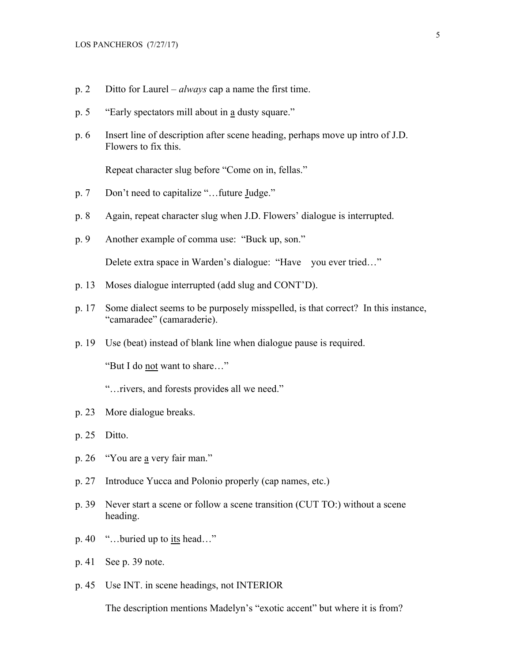- p. 2 Ditto for Laurel *always* cap a name the first time.
- p. 5 "Early spectators mill about in a dusty square."
- p. 6 Insert line of description after scene heading, perhaps move up intro of J.D. Flowers to fix this.

Repeat character slug before "Come on in, fellas."

- p. 7 Don't need to capitalize "…future Judge."
- p. 8 Again, repeat character slug when J.D. Flowers' dialogue is interrupted.
- p. 9 Another example of comma use: "Buck up, son."

Delete extra space in Warden's dialogue: "Have you ever tried…"

- p. 13 Moses dialogue interrupted (add slug and CONT'D).
- p. 17 Some dialect seems to be purposely misspelled, is that correct? In this instance, "camaradee" (camaraderie).
- p. 19 Use (beat) instead of blank line when dialogue pause is required.

"But I do not want to share…"

- "…rivers, and forests provides all we need."
- p. 23 More dialogue breaks.
- p. 25 Ditto.
- p. 26 "You are a very fair man."
- p. 27 Introduce Yucca and Polonio properly (cap names, etc.)
- p. 39 Never start a scene or follow a scene transition (CUT TO:) without a scene heading.
- p. 40 "…buried up to its head…"
- p. 41 See p. 39 note.
- p. 45 Use INT. in scene headings, not INTERIOR

The description mentions Madelyn's "exotic accent" but where it is from?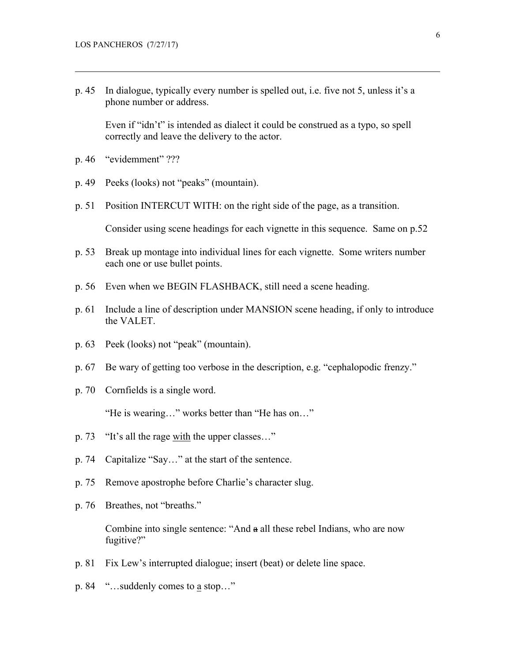p. 45 In dialogue, typically every number is spelled out, i.e. five not 5, unless it's a phone number or address.

Even if "idn't" is intended as dialect it could be construed as a typo, so spell correctly and leave the delivery to the actor.

- p. 46 "evidemment" ???
- p. 49 Peeks (looks) not "peaks" (mountain).
- p. 51 Position INTERCUT WITH: on the right side of the page, as a transition.

Consider using scene headings for each vignette in this sequence. Same on p.52

- p. 53 Break up montage into individual lines for each vignette. Some writers number each one or use bullet points.
- p. 56 Even when we BEGIN FLASHBACK, still need a scene heading.
- p. 61 Include a line of description under MANSION scene heading, if only to introduce the VALET.
- p. 63 Peek (looks) not "peak" (mountain).
- p. 67 Be wary of getting too verbose in the description, e.g. "cephalopodic frenzy."
- p. 70 Cornfields is a single word.

"He is wearing…" works better than "He has on…"

- p. 73 "It's all the rage with the upper classes…"
- p. 74 Capitalize "Say…" at the start of the sentence.
- p. 75 Remove apostrophe before Charlie's character slug.
- p. 76 Breathes, not "breaths."

Combine into single sentence: "And a all these rebel Indians, who are now fugitive?"

- p. 81 Fix Lew's interrupted dialogue; insert (beat) or delete line space.
- p. 84 "…suddenly comes to a stop…"